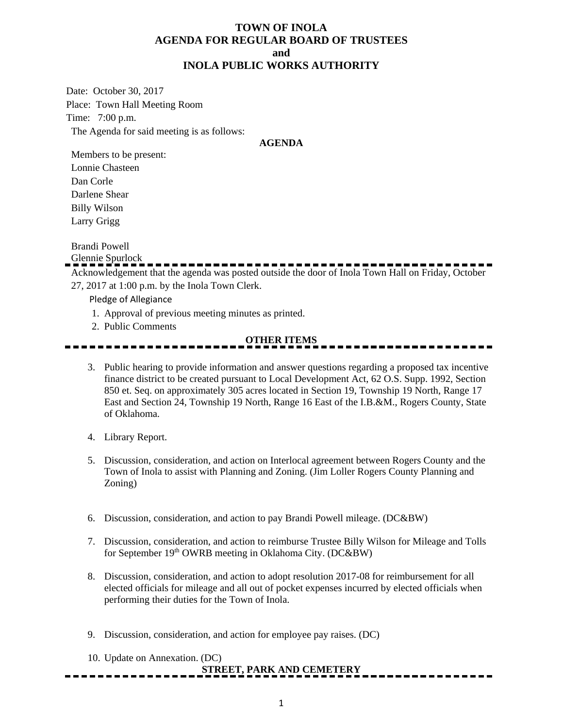### **TOWN OF INOLA AGENDA FOR REGULAR BOARD OF TRUSTEES and INOLA PUBLIC WORKS AUTHORITY**

Date: October 30, 2017 Place: Town Hall Meeting Room Time: 7:00 p.m. The Agenda for said meeting is as follows:

#### **AGENDA**

Members to be present: Lonnie Chasteen Dan Corle Darlene Shear Billy Wilson Larry Grigg

Brandi Powell

Glennie Spurlock

Acknowledgement that the agenda was posted outside the door of Inola Town Hall on Friday, October 27, 2017 at 1:00 p.m. by the Inola Town Clerk.

Pledge of Allegiance

- 1. Approval of previous meeting minutes as printed.
- 2. Public Comments

#### **OTHER ITEMS**

- 3. Public hearing to provide information and answer questions regarding a proposed tax incentive finance district to be created pursuant to Local Development Act, 62 O.S. Supp. 1992, Section 850 et. Seq. on approximately 305 acres located in Section 19, Township 19 North, Range 17 East and Section 24, Township 19 North, Range 16 East of the I.B.&M., Rogers County, State of Oklahoma.
- 4. Library Report.
- 5. Discussion, consideration, and action on Interlocal agreement between Rogers County and the Town of Inola to assist with Planning and Zoning. (Jim Loller Rogers County Planning and Zoning)
- 6. Discussion, consideration, and action to pay Brandi Powell mileage. (DC&BW)
- 7. Discussion, consideration, and action to reimburse Trustee Billy Wilson for Mileage and Tolls for September 19<sup>th</sup> OWRB meeting in Oklahoma City. (DC&BW)
- 8. Discussion, consideration, and action to adopt resolution 2017-08 for reimbursement for all elected officials for mileage and all out of pocket expenses incurred by elected officials when performing their duties for the Town of Inola.
- 9. Discussion, consideration, and action for employee pay raises. (DC)
- 10. Update on Annexation. (DC)

### **STREET, PARK AND CEMETERY**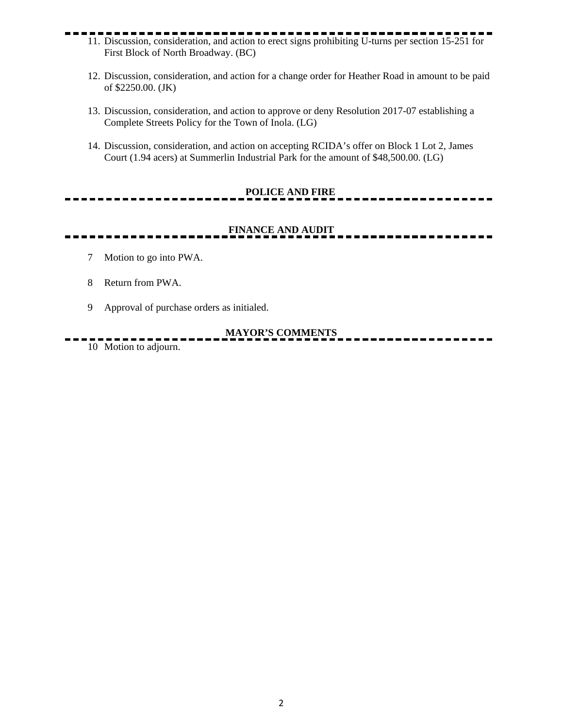- 11. Discussion, consideration, and action to erect signs prohibiting U-turns per section 15-251 for First Block of North Broadway. (BC)
	- 12. Discussion, consideration, and action for a change order for Heather Road in amount to be paid of \$2250.00. (JK)
	- 13. Discussion, consideration, and action to approve or deny Resolution 2017-07 establishing a Complete Streets Policy for the Town of Inola. (LG)
	- 14. Discussion, consideration, and action on accepting RCIDA's offer on Block 1 Lot 2, James Court (1.94 acers) at Summerlin Industrial Park for the amount of \$48,500.00. (LG)

## **POLICE AND FIRE**

## **FINANCE AND AUDIT**

- 7 Motion to go into PWA.
- 8 Return from PWA.
- 9 Approval of purchase orders as initialed.

### **MAYOR'S COMMENTS**

10 Motion to adjourn.